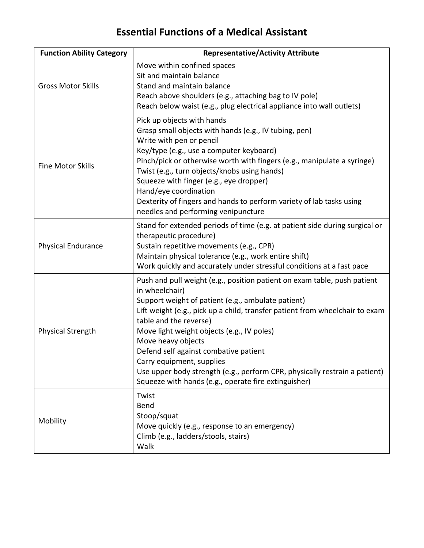## **Essential Functions of a Medical Assistant**

| <b>Function Ability Category</b> | <b>Representative/Activity Attribute</b>                                                                                                                                                                                                                                                                                                                                                                                                                                                                                                   |
|----------------------------------|--------------------------------------------------------------------------------------------------------------------------------------------------------------------------------------------------------------------------------------------------------------------------------------------------------------------------------------------------------------------------------------------------------------------------------------------------------------------------------------------------------------------------------------------|
| <b>Gross Motor Skills</b>        | Move within confined spaces<br>Sit and maintain balance<br>Stand and maintain balance<br>Reach above shoulders (e.g., attaching bag to IV pole)<br>Reach below waist (e.g., plug electrical appliance into wall outlets)                                                                                                                                                                                                                                                                                                                   |
| <b>Fine Motor Skills</b>         | Pick up objects with hands<br>Grasp small objects with hands (e.g., IV tubing, pen)<br>Write with pen or pencil<br>Key/type (e.g., use a computer keyboard)<br>Pinch/pick or otherwise worth with fingers (e.g., manipulate a syringe)<br>Twist (e.g., turn objects/knobs using hands)<br>Squeeze with finger (e.g., eye dropper)<br>Hand/eye coordination<br>Dexterity of fingers and hands to perform variety of lab tasks using<br>needles and performing venipuncture                                                                  |
| <b>Physical Endurance</b>        | Stand for extended periods of time (e.g. at patient side during surgical or<br>therapeutic procedure)<br>Sustain repetitive movements (e.g., CPR)<br>Maintain physical tolerance (e.g., work entire shift)<br>Work quickly and accurately under stressful conditions at a fast pace                                                                                                                                                                                                                                                        |
| Physical Strength                | Push and pull weight (e.g., position patient on exam table, push patient<br>in wheelchair)<br>Support weight of patient (e.g., ambulate patient)<br>Lift weight (e.g., pick up a child, transfer patient from wheelchair to exam<br>table and the reverse)<br>Move light weight objects (e.g., IV poles)<br>Move heavy objects<br>Defend self against combative patient<br>Carry equipment, supplies<br>Use upper body strength (e.g., perform CPR, physically restrain a patient)<br>Squeeze with hands (e.g., operate fire extinguisher) |
| Mobility                         | Twist<br>Bend<br>Stoop/squat<br>Move quickly (e.g., response to an emergency)<br>Climb (e.g., ladders/stools, stairs)<br>Walk                                                                                                                                                                                                                                                                                                                                                                                                              |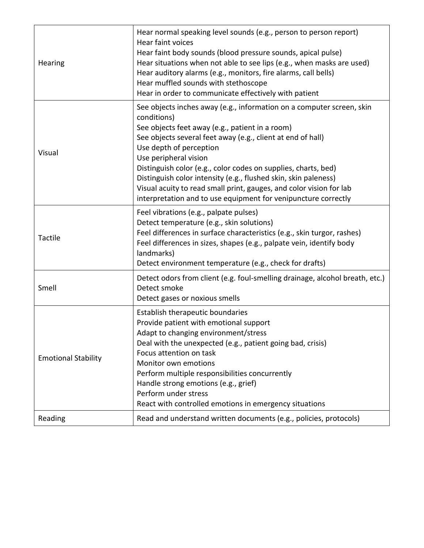| Hearing                    | Hear normal speaking level sounds (e.g., person to person report)<br>Hear faint voices<br>Hear faint body sounds (blood pressure sounds, apical pulse)<br>Hear situations when not able to see lips (e.g., when masks are used)<br>Hear auditory alarms (e.g., monitors, fire alarms, call bells)<br>Hear muffled sounds with stethoscope<br>Hear in order to communicate effectively with patient                                                                                                                                       |
|----------------------------|------------------------------------------------------------------------------------------------------------------------------------------------------------------------------------------------------------------------------------------------------------------------------------------------------------------------------------------------------------------------------------------------------------------------------------------------------------------------------------------------------------------------------------------|
| Visual                     | See objects inches away (e.g., information on a computer screen, skin<br>conditions)<br>See objects feet away (e.g., patient in a room)<br>See objects several feet away (e.g., client at end of hall)<br>Use depth of perception<br>Use peripheral vision<br>Distinguish color (e.g., color codes on supplies, charts, bed)<br>Distinguish color intensity (e.g., flushed skin, skin paleness)<br>Visual acuity to read small print, gauges, and color vision for lab<br>interpretation and to use equipment for venipuncture correctly |
| <b>Tactile</b>             | Feel vibrations (e.g., palpate pulses)<br>Detect temperature (e.g., skin solutions)<br>Feel differences in surface characteristics (e.g., skin turgor, rashes)<br>Feel differences in sizes, shapes (e.g., palpate vein, identify body<br>landmarks)<br>Detect environment temperature (e.g., check for drafts)                                                                                                                                                                                                                          |
| Smell                      | Detect odors from client (e.g. foul-smelling drainage, alcohol breath, etc.)<br>Detect smoke<br>Detect gases or noxious smells                                                                                                                                                                                                                                                                                                                                                                                                           |
| <b>Emotional Stability</b> | Establish therapeutic boundaries<br>Provide patient with emotional support<br>Adapt to changing environment/stress<br>Deal with the unexpected (e.g., patient going bad, crisis)<br>Focus attention on task<br>Monitor own emotions<br>Perform multiple responsibilities concurrently<br>Handle strong emotions (e.g., grief)<br>Perform under stress<br>React with controlled emotions in emergency situations                                                                                                                          |
| Reading                    | Read and understand written documents (e.g., policies, protocols)                                                                                                                                                                                                                                                                                                                                                                                                                                                                        |